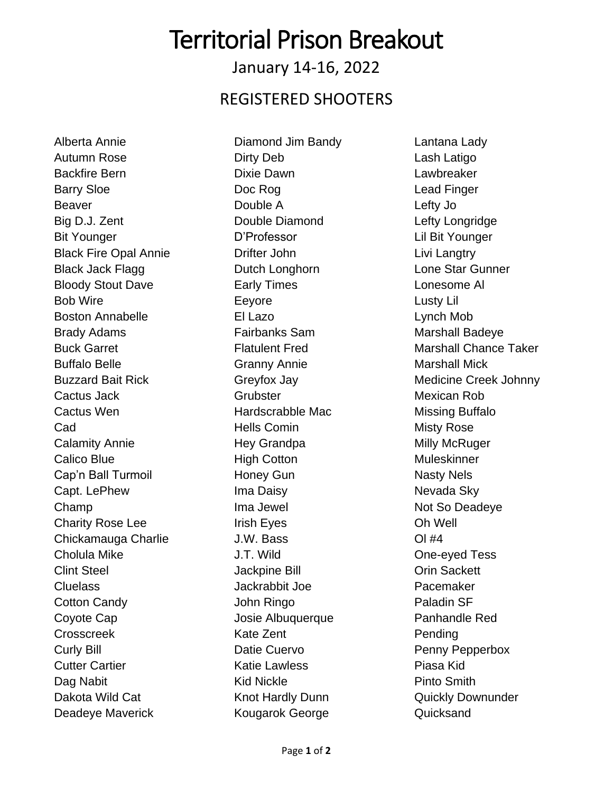# Territorial Prison Breakout

January 14-16, 2022

#### REGISTERED SHOOTERS

Alberta Annie Autumn Rose Backfire Bern Barry Sloe Beaver Big D.J. Zent Bit Younger Black Fire Opal Annie Black Jack Flagg Bloody Stout Dave Bob Wire Boston Annabelle Brady Adams Buck Garret Buffalo Belle Buzzard Bait Rick Cactus Jack Cactus Wen Cad Calamity Annie Calico Blue Cap'n Ball Turmoil Capt. LePhew Champ Charity Rose Lee Chickamauga Charlie Cholula Mike Clint Steel Cluelass Cotton Candy Coyote Cap Crosscreek Curly Bill Cutter Cartier Dag Nabit Dakota Wild Cat Deadeye Maverick

Diamond Jim Bandy Dirty Deb Dixie Dawn Doc Rog Double A Double Diamond D'Professor Drifter John Dutch Longhorn Early Times Eeyore El Lazo Fairbanks Sam Flatulent Fred Granny Annie Greyfox Jay **Grubster** Hardscrabble Mac Hells Comin Hey Grandpa High Cotton Honey Gun Ima Daisy Ima Jewel Irish Eyes J.W. Bass J.T. Wild Jackpine Bill Jackrabbit Joe John Ringo Josie Albuquerque Kate Zent Datie Cuervo Katie Lawless Kid Nickle Knot Hardly Dunn Kougarok George

Lantana Lady Lash Latigo Lawbreaker Lead Finger Lefty Jo Lefty Longridge Lil Bit Younger Livi Langtry Lone Star Gunner Lonesome Al Lusty Lil Lynch Mob Marshall Badeye Marshall Chance Taker Marshall Mick Medicine Creek Johnny Mexican Rob Missing Buffalo Misty Rose Milly McRuger Muleskinner Nasty Nels Nevada Sky Not So Deadeye Oh Well Ol #4 One-eyed Tess Orin Sackett Pacemaker Paladin SF Panhandle Red Pending Penny Pepperbox Piasa Kid Pinto Smith Quickly Downunder **Quicksand**